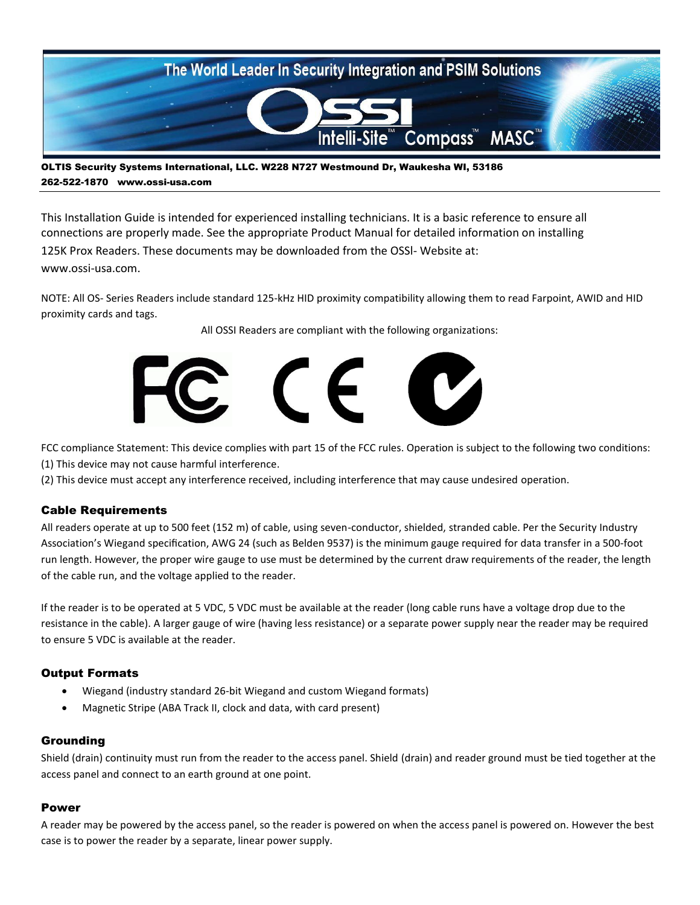

OLTIS Security Systems International, LLC. W228 N727 Westmound Dr, Waukesha WI, 53186 262-522-1870 www.ossi-usa.com

This Installation Guide is intended for experienced installing technicians. It is a basic reference to ensure all connections are properly made. See the appropriate Product Manual for detailed information on installing 125K Prox Readers. These documents may be downloaded from the OSSl- Website at: www.ossi-usa.com.

NOTE: All OS- Series Readers include standard 125-kHz HID proximity compatibility allowing them to read Farpoint, AWID and HID proximity cards and tags.

All OSSI Readers are compliant with the following organizations:



FCC compliance Statement: This device complies with part 15 of the FCC rules. Operation is subject to the following two conditions: (1) This device may not cause harmful interference.

(2) This device must accept any interference received, including interference that may cause undesired operation.

### Cable Requirements

All readers operate at up to 500 feet (152 m) of cable, using seven-conductor, shielded, stranded cable. Per the Security Industry Association's Wiegand specification, AWG 24 (such as Belden 9537) is the minimum gauge required for data transfer in a 500-foot run length. However, the proper wire gauge to use must be determined by the current draw requirements of the reader, the length of the cable run, and the voltage applied to the reader.

If the reader is to be operated at 5 VDC, 5 VDC must be available at the reader (long cable runs have a voltage drop due to the resistance in the cable). A larger gauge of wire (having less resistance) or a separate power supply near the reader may be required to ensure 5 VDC is available at the reader.

### Output Formats

- Wiegand (industry standard 26-bit Wiegand and custom Wiegand formats)
- Magnetic Stripe (ABA Track II, clock and data, with card present)

### Grounding

Shield (drain) continuity must run from the reader to the access panel. Shield (drain) and reader ground must be tied together at the access panel and connect to an earth ground at one point.

### Power

A reader may be powered by the access panel, so the reader is powered on when the access panel is powered on. However the best case is to power the reader by a separate, linear power supply.